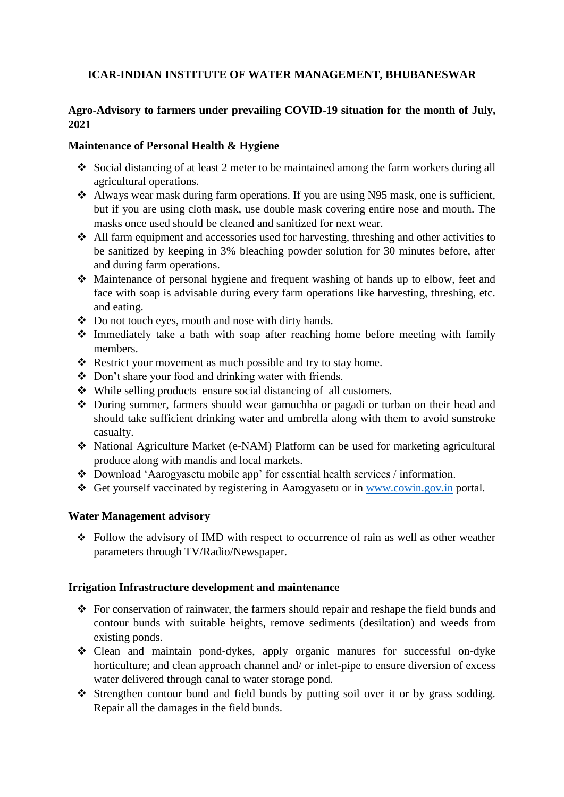# **ICAR-INDIAN INSTITUTE OF WATER MANAGEMENT, BHUBANESWAR**

# **Agro-Advisory to farmers under prevailing COVID-19 situation for the month of July, 2021**

### **Maintenance of Personal Health & Hygiene**

- Social distancing of at least 2 meter to be maintained among the farm workers during all agricultural operations.
- Always wear mask during farm operations. If you are using N95 mask, one is sufficient, but if you are using cloth mask, use double mask covering entire nose and mouth. The masks once used should be cleaned and sanitized for next wear.
- All farm equipment and accessories used for harvesting, threshing and other activities to be sanitized by keeping in 3% bleaching powder solution for 30 minutes before, after and during farm operations.
- Maintenance of personal hygiene and frequent washing of hands up to elbow, feet and face with soap is advisable during every farm operations like harvesting, threshing, etc. and eating.
- Do not touch eyes, mouth and nose with dirty hands.
- $\triangle$  Immediately take a bath with soap after reaching home before meeting with family members.
- \* Restrict your movement as much possible and try to stay home.
- Don't share your food and drinking water with friends.
- While selling products ensure social distancing of all customers.
- During summer, farmers should wear gamuchha or pagadi or turban on their head and should take sufficient drinking water and umbrella along with them to avoid sunstroke casualty.
- National Agriculture Market (e-NAM) Platform can be used for marketing agricultural produce along with mandis and local markets.
- Download 'Aarogyasetu mobile app' for essential health services / information.
- Get yourself vaccinated by registering in Aarogyasetu or in [www.cowin.gov.in](http://www.cowin.gov.in/) portal.

#### **Water Management advisory**

 Follow the advisory of IMD with respect to occurrence of rain as well as other weather parameters through TV/Radio/Newspaper.

#### **Irrigation Infrastructure development and maintenance**

- For conservation of rainwater, the farmers should repair and reshape the field bunds and contour bunds with suitable heights, remove sediments (desiltation) and weeds from existing ponds.
- Clean and maintain pond-dykes, apply organic manures for successful on-dyke horticulture; and clean approach channel and/ or inlet-pipe to ensure diversion of excess water delivered through canal to water storage pond.
- Strengthen contour bund and field bunds by putting soil over it or by grass sodding. Repair all the damages in the field bunds.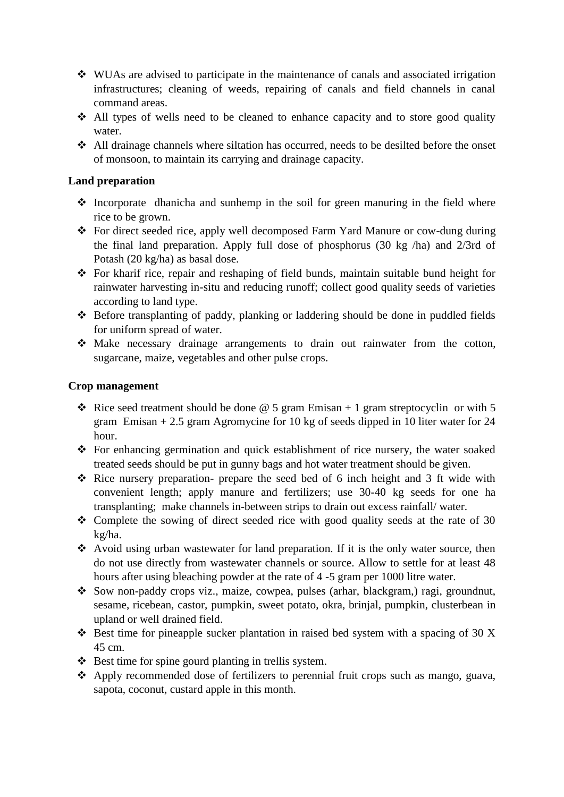- WUAs are advised to participate in the maintenance of canals and associated irrigation infrastructures; cleaning of weeds, repairing of canals and field channels in canal command areas.
- All types of wells need to be cleaned to enhance capacity and to store good quality water.
- $\triangle$  All drainage channels where siltation has occurred, needs to be desilted before the onset of monsoon, to maintain its carrying and drainage capacity.

## **Land preparation**

- $\triangle$  Incorporate dhanicha and sunhemp in the soil for green manuring in the field where rice to be grown.
- For direct seeded rice, apply well decomposed Farm Yard Manure or cow-dung during the final land preparation. Apply full dose of phosphorus (30 kg /ha) and 2/3rd of Potash (20 kg/ha) as basal dose.
- For kharif rice, repair and reshaping of field bunds, maintain suitable bund height for rainwater harvesting in-situ and reducing runoff; collect good quality seeds of varieties according to land type.
- Before transplanting of paddy, planking or laddering should be done in puddled fields for uniform spread of water.
- Make necessary drainage arrangements to drain out rainwater from the cotton, sugarcane, maize, vegetables and other pulse crops.

## **Crop management**

- $\cdot$  Rice seed treatment should be done @ 5 gram Emisan + 1 gram streptocyclin or with 5 gram Emisan + 2.5 gram Agromycine for 10 kg of seeds dipped in 10 liter water for 24 hour.
- For enhancing germination and quick establishment of rice nursery, the water soaked treated seeds should be put in gunny bags and hot water treatment should be given.
- $\triangle$  Rice nursery preparation- prepare the seed bed of 6 inch height and 3 ft wide with convenient length; apply manure and fertilizers; use 30-40 kg seeds for one ha transplanting; make channels in-between strips to drain out excess rainfall/ water.
- $\div$  Complete the sowing of direct seeded rice with good quality seeds at the rate of 30 kg/ha.
- Avoid using urban wastewater for land preparation. If it is the only water source, then do not use directly from wastewater channels or source. Allow to settle for at least 48 hours after using bleaching powder at the rate of 4 -5 gram per 1000 litre water.
- Sow non-paddy crops viz., maize, cowpea, pulses (arhar, blackgram,) ragi, groundnut, sesame, ricebean, castor, pumpkin, sweet potato, okra, brinjal, pumpkin, clusterbean in upland or well drained field.
- $\triangle$  Best time for pineapple sucker plantation in raised bed system with a spacing of 30 X 45 cm.
- $\triangle$  Best time for spine gourd planting in trellis system.
- Apply recommended dose of fertilizers to perennial fruit crops such as mango, guava, sapota, coconut, custard apple in this month.